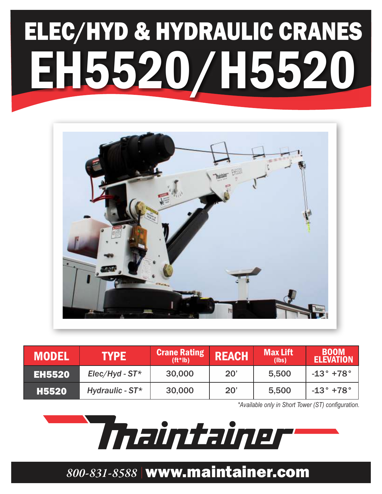# ELEC/HYD & HYDRAULIC CRANES EH5520/H552



| <b>MODEL</b>  | <b>TYPE</b>         | <b>Crane Rating</b><br>$(ft*lb)$ | <b>REACH</b> | <b>Max Lift</b><br>(lbs) | <b>BOOM</b><br><b>ELEVATION</b> |
|---------------|---------------------|----------------------------------|--------------|--------------------------|---------------------------------|
| <b>EH5520</b> | $Elec/Hyd$ - $ST^*$ | 30,000                           | 20'          | 5,500                    | $-13^{\circ}$ +78 $^{\circ}$    |
| <b>H5520</b>  | Hydraulic - $ST^*$  | 30,000                           | 20'          | 5,500                    | $-13^{\circ}$ +78 $^{\circ}$    |

*\*Available only in Short Tower (ST) configuration.*

Thaintainer

### *800-831-8588* www.maintainer.com